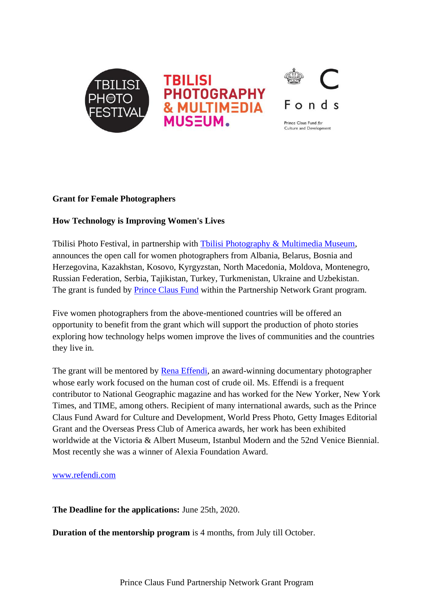

### **Grant for Female Photographers**

#### **How Technology is Improving Women's Lives**

Tbilisi Photo Festival, in partnership with [Tbilisi Photography & Multimedia Museum,](http://www.tpmm.ge/) announces the open call for women photographers from Albania, Belarus, Bosnia and Herzegovina, Kazakhstan, Kosovo, Kyrgyzstan, North Macedonia, Moldova, Montenegro, Russian Federation, Serbia, Tajikistan, Turkey, Turkmenistan, Ukraine and Uzbekistan. The grant is funded by **Prince Claus Fund** within the Partnership Network Grant program.

Five women photographers from the above-mentioned countries will be offered an opportunity to benefit from the grant which will support the production of photo stories exploring how technology helps women improve the lives of communities and the countries they live in.

The grant will be mentored by [Rena Effendi,](http://www.refendi.com/) an award-winning documentary photographer whose early work focused on the human cost of crude oil. Ms. Effendi is a frequent contributor to National Geographic magazine and has worked for the New Yorker, New York Times, and TIME, among others. Recipient of many international awards, such as the Prince Claus Fund Award for Culture and Development, World Press Photo, Getty Images Editorial Grant and the Overseas Press Club of America awards, her work has been exhibited worldwide at the Victoria & Albert Museum, Istanbul Modern and the 52nd Venice Biennial. Most recently she was a winner of Alexia Foundation Award.

#### [www.refendi.com](http://www.refendi.com/)

**The Deadline for the applications:** June 25th, 2020.

**Duration of the mentorship program** is 4 months, from July till October.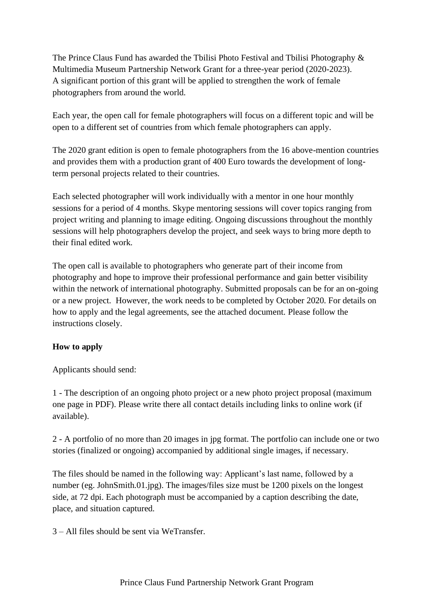The Prince Claus Fund has awarded the Tbilisi Photo Festival and Tbilisi Photography & Multimedia Museum Partnership Network Grant for a three-year period (2020-2023). A significant portion of this grant will be applied to strengthen the work of female photographers from around the world.

Each year, the open call for female photographers will focus on a different topic and will be open to a different set of countries from which female photographers can apply.

The 2020 grant edition is open to female photographers from the 16 above-mention countries and provides them with a production grant of 400 Euro towards the development of longterm personal projects related to their countries.

Each selected photographer will work individually with a mentor in one hour monthly sessions for a period of 4 months. Skype mentoring sessions will cover topics ranging from project writing and planning to image editing. Ongoing discussions throughout the monthly sessions will help photographers develop the project, and seek ways to bring more depth to their final edited work.

The open call is available to photographers who generate part of their income from photography and hope to improve their professional performance and gain better visibility within the network of international photography. Submitted proposals can be for an on-going or a new project. However, the work needs to be completed by October 2020. For details on how to apply and the legal agreements, see the attached document. Please follow the instructions closely.

## **How to apply**

Applicants should send:

1 - The description of an ongoing photo project or a new photo project proposal (maximum one page in PDF). Please write there all contact details including links to online work (if available).

2 - A portfolio of no more than 20 images in jpg format. The portfolio can include one or two stories (finalized or ongoing) accompanied by additional single images, if necessary.

The files should be named in the following way: Applicant's last name, followed by a number (eg. JohnSmith.01.jpg). The images/files size must be 1200 pixels on the longest side, at 72 dpi. Each photograph must be accompanied by a caption describing the date, place, and situation captured.

3 – All files should be sent via WeTransfer.